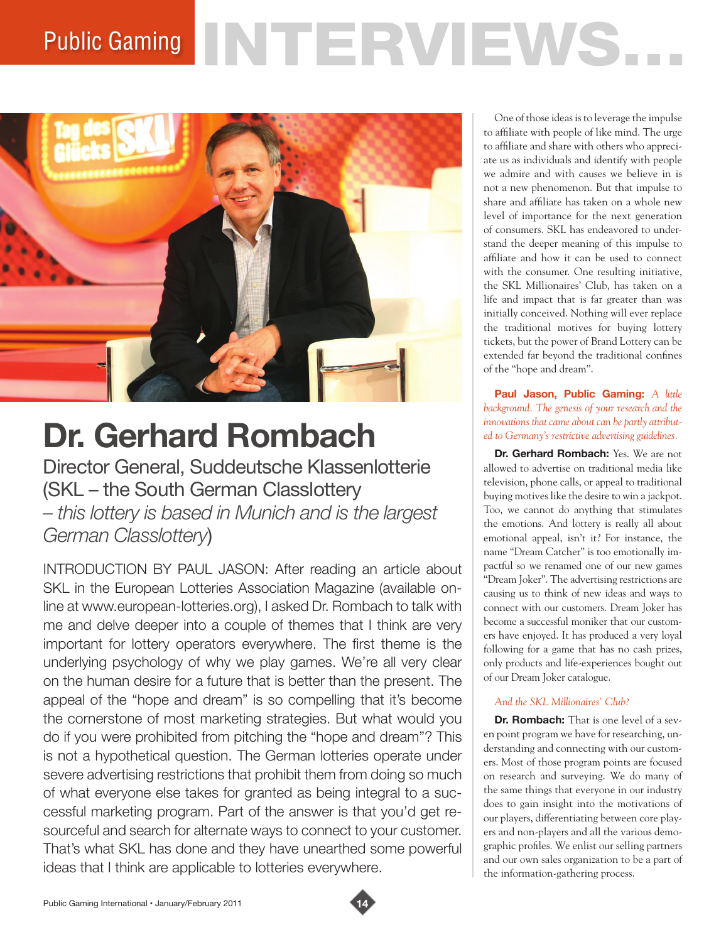# Public Gaming NTERVIEWS.



# **Dr. Gerhard Rombach**

Director General, Suddeutsche Klassenlotterie (SKL – the South German Classlottery *– this lottery is based in Munich and is the largest German Classlottery*)

INTRODUCTION BY PAUL JASON: After reading an article about SKL in the European Lotteries Association Magazine (available online at www.european-lotteries.org), I asked Dr. Rombach to talk with me and delve deeper into a couple of themes that I think are very important for lottery operators everywhere. The first theme is the underlying psychology of why we play games. We're all very clear on the human desire for a future that is better than the present. The appeal of the "hope and dream" is so compelling that it's become the cornerstone of most marketing strategies. But what would you do if you were prohibited from pitching the "hope and dream"? This is not a hypothetical question. The German lotteries operate under severe advertising restrictions that prohibit them from doing so much of what everyone else takes for granted as being integral to a successful marketing program. Part of the answer is that you'd get resourceful and search for alternate ways to connect to your customer. That's what SKL has done and they have unearthed some powerful ideas that I think are applicable to lotteries everywhere.

One of those ideas is to leverage the impulse to affiliate with people of like mind. The urge to affiliate and share with others who appreciate us as individuals and identify with people we admire and with causes we believe in is not a new phenomenon. But that impulse to share and affiliate has taken on a whole new level of importance for the next generation of consumers. SKL has endeavored to understand the deeper meaning of this impulse to affiliate and how it can be used to connect with the consumer. One resulting initiative, the SKL Millionaires' Club, has taken on a life and impact that is far greater than was initially conceived. Nothing will ever replace the traditional motives for buying lottery tickets, but the power of Brand Lottery can be extended far beyond the traditional confines of the "hope and dream".

#### **Paul Jason, Public Gaming:** *A little background. The genesis of your research and the innovations that came about can be partly attributed to Germany's restrictive advertising guidelines.*

**Dr. Gerhard Rombach:** Yes. We are not allowed to advertise on traditional media like television, phone calls, or appeal to traditional buying motives like the desire to win a jackpot. Too, we cannot do anything that stimulates the emotions. And lottery is really all about emotional appeal, isn't it? For instance, the name "Dream Catcher" is too emotionally impactful so we renamed one of our new games "Dream Joker". The advertising restrictions are causing us to think of new ideas and ways to connect with our customers. Dream Joker has become a successful moniker that our customers have enjoyed. It has produced a very loyal following for a game that has no cash prizes, only products and life-experiences bought out of our Dream Joker catalogue.

# *And the SKL Millionaires' Club?*

**Dr. Rombach:** That is one level of a seven point program we have for researching, understanding and connecting with our customers. Most of those program points are focused on research and surveying. We do many of the same things that everyone in our industry does to gain insight into the motivations of our players, differentiating between core players and non-players and all the various demographic profiles. We enlist our selling partners and our own sales organization to be a part of the information-gathering process.

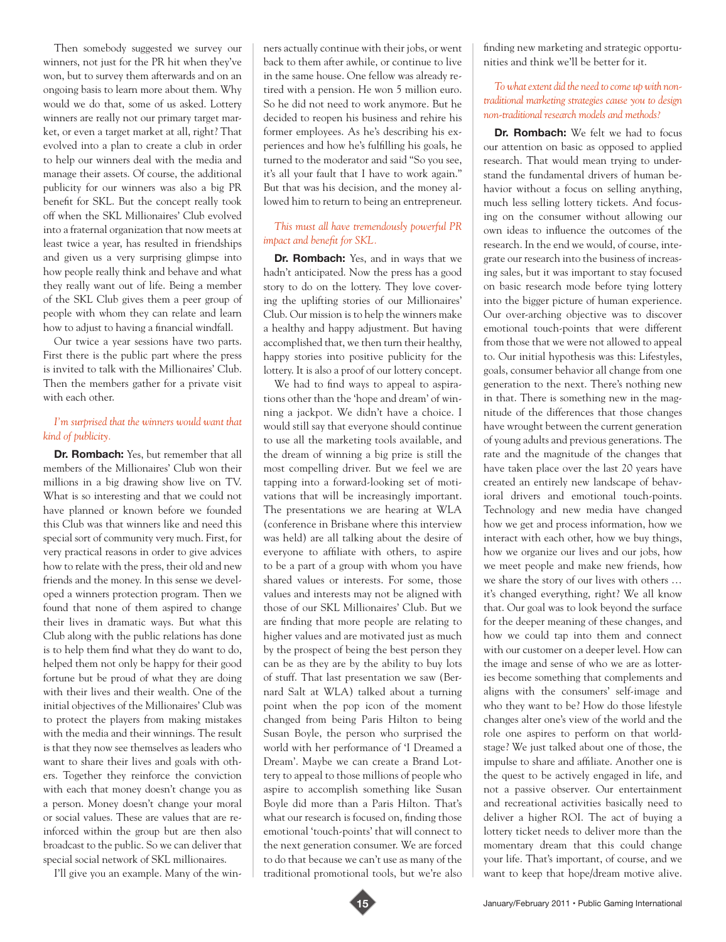Then somebody suggested we survey our winners, not just for the PR hit when they've won, but to survey them afterwards and on an ongoing basis to learn more about them. Why would we do that, some of us asked. Lottery winners are really not our primary target market, or even a target market at all, right? That evolved into a plan to create a club in order to help our winners deal with the media and manage their assets. Of course, the additional publicity for our winners was also a big PR benefit for SKL. But the concept really took off when the SKL Millionaires' Club evolved into a fraternal organization that now meets at least twice a year, has resulted in friendships and given us a very surprising glimpse into how people really think and behave and what they really want out of life. Being a member of the SKL Club gives them a peer group of people with whom they can relate and learn how to adjust to having a financial windfall.

Our twice a year sessions have two parts. First there is the public part where the press is invited to talk with the Millionaires' Club. Then the members gather for a private visit with each other.

### *I'm surprised that the winners would want that kind of publicity.*

**Dr. Rombach:** Yes, but remember that all members of the Millionaires' Club won their millions in a big drawing show live on TV. What is so interesting and that we could not have planned or known before we founded this Club was that winners like and need this special sort of community very much. First, for very practical reasons in order to give advices how to relate with the press, their old and new friends and the money. In this sense we developed a winners protection program. Then we found that none of them aspired to change their lives in dramatic ways. But what this Club along with the public relations has done is to help them find what they do want to do, helped them not only be happy for their good fortune but be proud of what they are doing with their lives and their wealth. One of the initial objectives of the Millionaires' Club was to protect the players from making mistakes with the media and their winnings. The result is that they now see themselves as leaders who want to share their lives and goals with others. Together they reinforce the conviction with each that money doesn't change you as a person. Money doesn't change your moral or social values. These are values that are reinforced within the group but are then also broadcast to the public. So we can deliver that special social network of SKL millionaires.

I'll give you an example. Many of the win-

ners actually continue with their jobs, or went back to them after awhile, or continue to live in the same house. One fellow was already retired with a pension. He won 5 million euro. So he did not need to work anymore. But he decided to reopen his business and rehire his former employees. As he's describing his experiences and how he's fulfilling his goals, he turned to the moderator and said "So you see, it's all your fault that I have to work again." But that was his decision, and the money allowed him to return to being an entrepreneur.

## *This must all have tremendously powerful PR impact and benefit for SKL.*

**Dr. Rombach:** Yes, and in ways that we hadn't anticipated. Now the press has a good story to do on the lottery. They love covering the uplifting stories of our Millionaires' Club. Our mission is to help the winners make a healthy and happy adjustment. But having accomplished that, we then turn their healthy, happy stories into positive publicity for the lottery. It is also a proof of our lottery concept.

We had to find ways to appeal to aspirations other than the 'hope and dream' of winning a jackpot. We didn't have a choice. I would still say that everyone should continue to use all the marketing tools available, and the dream of winning a big prize is still the most compelling driver. But we feel we are tapping into a forward-looking set of motivations that will be increasingly important. The presentations we are hearing at WLA (conference in Brisbane where this interview was held) are all talking about the desire of everyone to affiliate with others, to aspire to be a part of a group with whom you have shared values or interests. For some, those values and interests may not be aligned with those of our SKL Millionaires' Club. But we are finding that more people are relating to higher values and are motivated just as much by the prospect of being the best person they can be as they are by the ability to buy lots of stuff. That last presentation we saw (Bernard Salt at WLA) talked about a turning point when the pop icon of the moment changed from being Paris Hilton to being Susan Boyle, the person who surprised the world with her performance of 'I Dreamed a Dream'. Maybe we can create a Brand Lottery to appeal to those millions of people who aspire to accomplish something like Susan Boyle did more than a Paris Hilton. That's what our research is focused on, finding those emotional 'touch-points' that will connect to the next generation consumer. We are forced to do that because we can't use as many of the traditional promotional tools, but we're also

finding new marketing and strategic opportunities and think we'll be better for it.

#### *To what extent did the need to come up with nontraditional marketing strategies cause you to design non-traditional research models and methods?*

**Dr. Rombach:** We felt we had to focus our attention on basic as opposed to applied research. That would mean trying to understand the fundamental drivers of human behavior without a focus on selling anything, much less selling lottery tickets. And focusing on the consumer without allowing our own ideas to influence the outcomes of the research. In the end we would, of course, integrate our research into the business of increasing sales, but it was important to stay focused on basic research mode before tying lottery into the bigger picture of human experience. Our over-arching objective was to discover emotional touch-points that were different from those that we were not allowed to appeal to. Our initial hypothesis was this: Lifestyles, goals, consumer behavior all change from one generation to the next. There's nothing new in that. There is something new in the magnitude of the differences that those changes have wrought between the current generation of young adults and previous generations. The rate and the magnitude of the changes that have taken place over the last 20 years have created an entirely new landscape of behavioral drivers and emotional touch-points. Technology and new media have changed how we get and process information, how we interact with each other, how we buy things, how we organize our lives and our jobs, how we meet people and make new friends, how we share the story of our lives with others … it's changed everything, right? We all know that. Our goal was to look beyond the surface for the deeper meaning of these changes, and how we could tap into them and connect with our customer on a deeper level. How can the image and sense of who we are as lotteries become something that complements and aligns with the consumers' self-image and who they want to be? How do those lifestyle changes alter one's view of the world and the role one aspires to perform on that worldstage? We just talked about one of those, the impulse to share and affiliate. Another one is the quest to be actively engaged in life, and not a passive observer. Our entertainment and recreational activities basically need to deliver a higher ROI. The act of buying a lottery ticket needs to deliver more than the momentary dream that this could change your life. That's important, of course, and we want to keep that hope/dream motive alive.